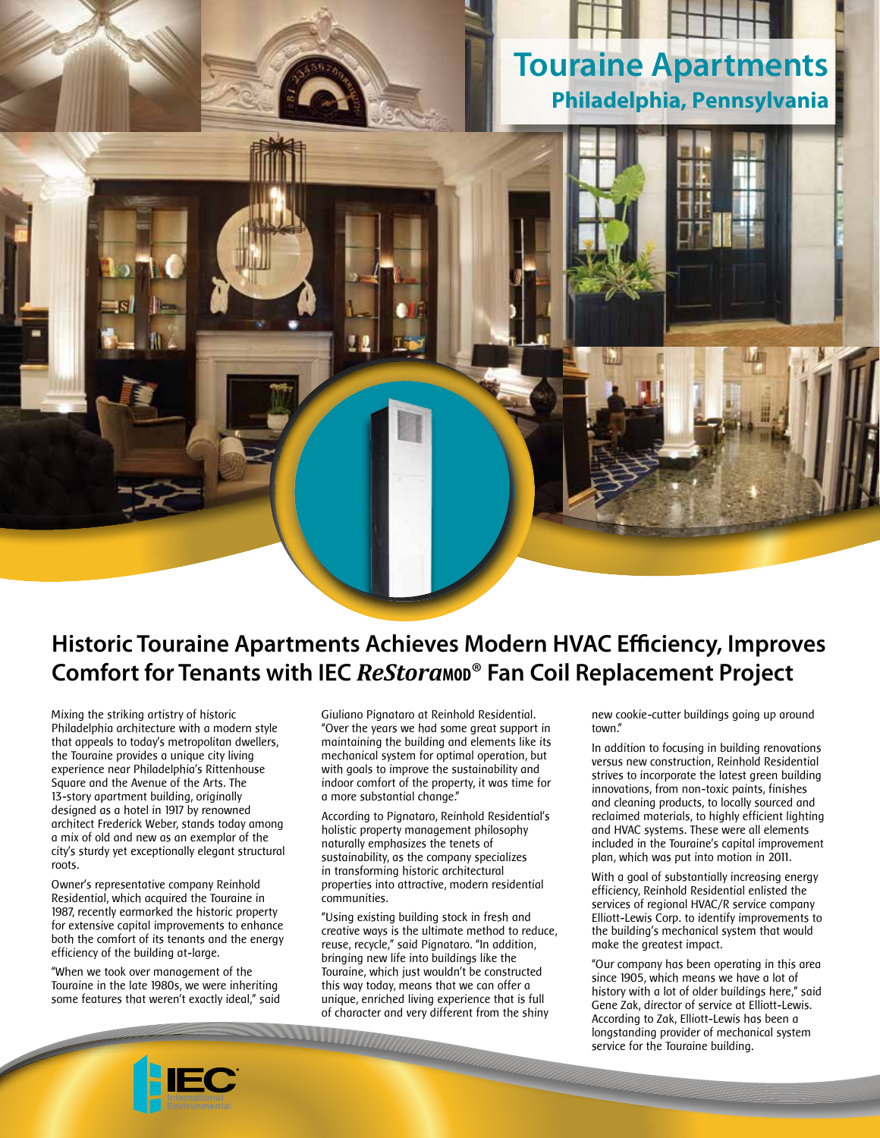## **Touraine Apartments Philadelphia, Pennsylvania**



## **Historic Touraine Apartments Achieves Modern HVAC Efficiency, Improves Comfort for Tenants with IEC** *ReStora***<sub>***MOD®</sub>* **Fan Coil Replacement Project**</sub>

Mixing the striking artistry of historic Philadelphia architecture with a modern style that appeals to today's metropolitan dwellers, the Touraine provides a unique city living experience near Philadelphia's Rittenhouse Square and the Avenue of the Arts. The 13-story apartment building, originally designed as a hotel in 1917 by renowned architect Frederick Weber, stands today among a mix of old and new as an exemplar of the city's sturdy yet exceptionally elegant structural roots.

Owner's representative company Reinhold Residential, which acquired the Touraine in 1987, recently earmarked the historic property for extensive capital improvements to enhance both the comfort of its tenants and the energy efficiency of the building at-large.

"When we took over management of the Touraine in the late 1980s, we were inheriting some features that weren't exactly ideal," said Giuliano Pignataro at Reinhold Residential. "Over the years we had some great support in maintaining the building and elements like its mechanical system for optimal operation, but with goals to improve the sustainability and indoor comfort of the property, it was time for a more substantial change."

According to Pignataro, Reinhold Residential's holistic property management philosophy naturally emphasizes the tenets of sustainability, as the company specializes in transforming historic architectural properties into attractive, modern residential communities.

"Using existing building stock in fresh and creative ways is the ultimate method to reduce, reuse, recycle," said Pignataro. "In addition, bringing new life into buildings like the Touraine, which just wouldn't be constructed this way today, means that we can offer a unique, enriched living experience that is full of character and very different from the shiny

new cookie-cutter buildings going up around town."

In addition to focusing in building renovations versus new construction, Reinhold Residential strives to incorporate the latest green building innovations, from non-toxic paints, finishes and cleaning products, to locally sourced and reclaimed materials, to highly efficient lighting and HVAC systems. These were all elements included in the Touraine's capital improvement plan, which was put into motion in 2011.

With a goal of substantially increasing energy efficiency, Reinhold Residential enlisted the services of regional HVAC/R service company Elliott-Lewis Corp. to identify improvements to the building's mechanical system that would make the greatest impact.

"Our company has been operating in this area since 1905, which means we have a lot of history with a lot of older buildings here," said Gene Zak, director of service at Elliott-Lewis. According to Zak, Elliott-Lewis has been a longstanding provider of mechanical system service for the Touraine building.